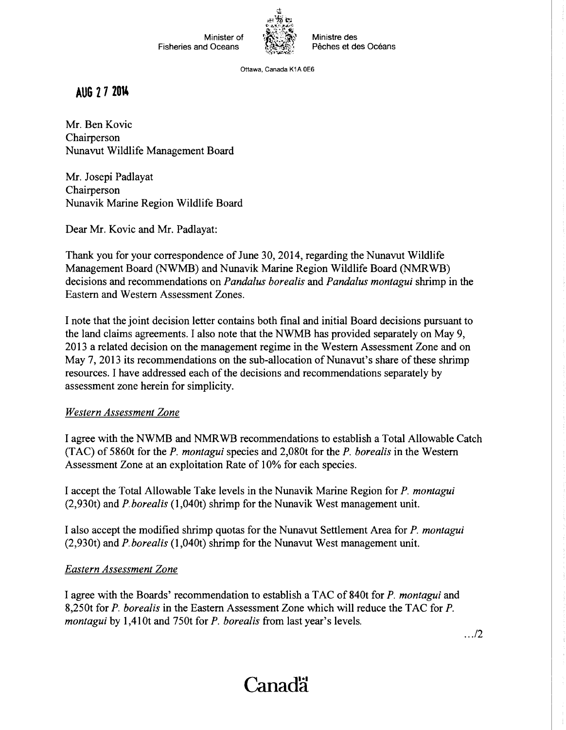

Ministre des Pêches et des Océans

Ottawa, Canada K1A OE6

**AUG 2 7 2014** 

Mr. Ben Kovic Chairperson Nunavut Wildlife Management Board

Mr. Josepi Padlayat Chairperson Nunavik Marine Region Wildlife Board

Dear Mr. Kovic and Mr. Padlayat:

Thank you for your correspondence of June 30, 2014, regarding the Nunavut Wildlife Management Board (NWMB) and Nunavik Marine Region Wildlife Board (NMRWB) decisions and recommendations on *Panda/us borealis* and *Panda/us montagui* shrimp in the Eastern and Western Assessment Zones.

I note that the joint decision letter contains both final and initial Board decisions pursuant to the land claims agreements. I also note that the NWMB has provided separately on May 9, 20 13 a related decision on the management regime in the Western Assessment Zone and on May 7, 2013 its recommendations on the sub-allocation of Nunavut's share of these shrimp resources. I have addressed each of the decisions and recommendations separately by assessment zone herein for simplicity.

## *Western Assessment Zone*

I agree with the NWMB and NMRWB recommendations to establish a Total Allowable Catch (TAC) of 5860t for the *P. montagui* species and 2,080t for the *P. borealis* in the Western Assessment Zone at an exploitation Rate of 10% for each species.

I accept the Total Allowable Take levels in the Nunavik Marine Region for *P. montagui*  (2,930t) and *P.borealis* (1,040t) shrimp for the Nunavik West management unit.

I also accept the modified shrimp quotas for the Nunavut Settlement Area for *P. montagui*  (2,930t) and *P. borealis* (1 ,040t) shrimp for the Nunavut West management unit.

## *Eastern Assessment Zone*

I agree with the Boards' recommendation to establish a T AC of 840t for *P. montagui* and 8,250t for *P. borealis* in the Eastern Assessment Zone which will reduce the TAC for *P. montagui* by 1,410t and 750t for *P. borealis* from last year's levels.

. . ./2

## Canad<sup>"</sup>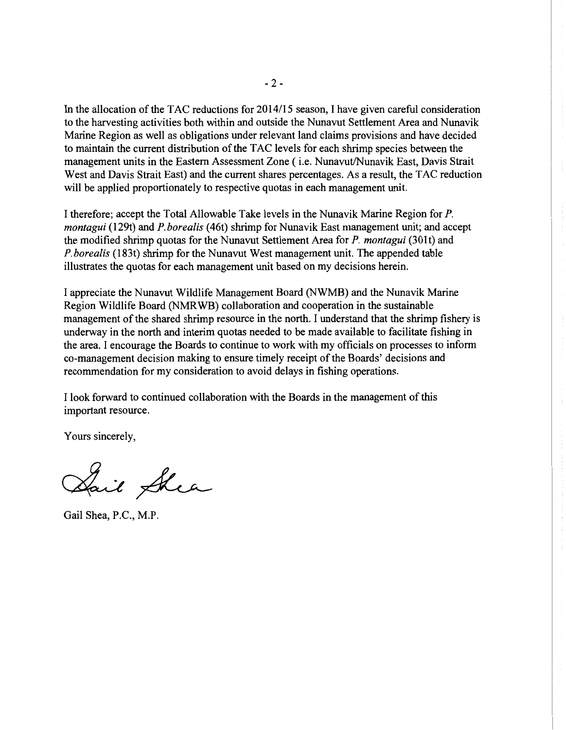In the allocation of the TAC reductions for 2014/15 season, I have given careful consideration to the harvesting activities both within and outside the Nunavut Settlement Area and Nunavik Marine Region as well as obligations under relevant land claims provisions and have decided to maintain the current distribution of the T AC levels for each shrimp species between the management units in the Eastern Assessment Zone ( i.e. Nunavut/Nunavik East, Davis Strait West and Davis Strait East) and the current shares percentages. As a result, the TAC reduction will be applied proportionately to respective quotas in each management unit.

I therefore; accept the Total Allowable Take levels in the Nunavik Marine Region for P. *montagui* (129t) and *P.borealis* (46t) shrimp for Nunavik East management unit; and accept the modified shrimp quotas for the Nunavut Settlement Area for *P. montagui* (301t) and *P. borealis* (183t) shrimp for the Nunavut West management unit. The appended table illustrates the quotas for each management unit based on my decisions herein.

I appreciate the Nunavut Wildlife Management Board (NWMB) and the Nunavik Marine Region Wildlife Board (NMRWB) collaboration and cooperation in the sustainable management of the shared shrimp resource in the north. I understand that the shrimp fishery is underway in the north and interim quotas needed to be made available to facilitate fishing in the area. I encourage the Boards to continue to work with my officials on processes to inform co-management decision making to ensure timely receipt of the Boards' decisions and recommendation for my consideration to avoid delays in fishing operations.

I look forward to continued collaboration with the Boards in the management of this important resource.

Yours sincerely,

Sail Shea

Gail Shea, P.C., M.P.